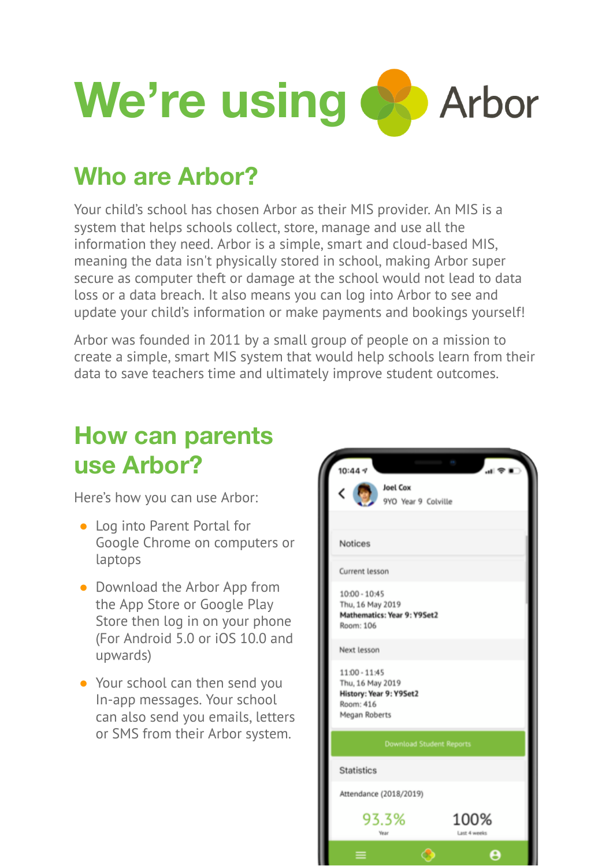

## **Who are Arbor?**

Your child's school has chosen Arbor as their MIS provider. An MIS is a system that helps schools collect, store, manage and use all the information they need. Arbor is a simple, smart and cloud-based MIS, meaning the data isn't physically stored in school, making Arbor super secure as computer theft or damage at the school would not lead to data loss or a data breach. It also means you can log into Arbor to see and update your child's information or make payments and bookings yourself!

Arbor was founded in 2011 by a small group of people on a mission to create a simple, smart MIS system that would help schools learn from their data to save teachers time and ultimately improve student outcomes.

### **How can parents use Arbor?**

Here's how you can use Arbor:

- Log into Parent Portal for Google Chrome on computers or laptops
- Download the Arbor App from the App Store or Google Play Store then log in on your phone (For Android 5.0 or iOS 10.0 and upwards)
- Your school can then send you In-app messages. Your school can also send you emails, letters or SMS from their Arbor system.